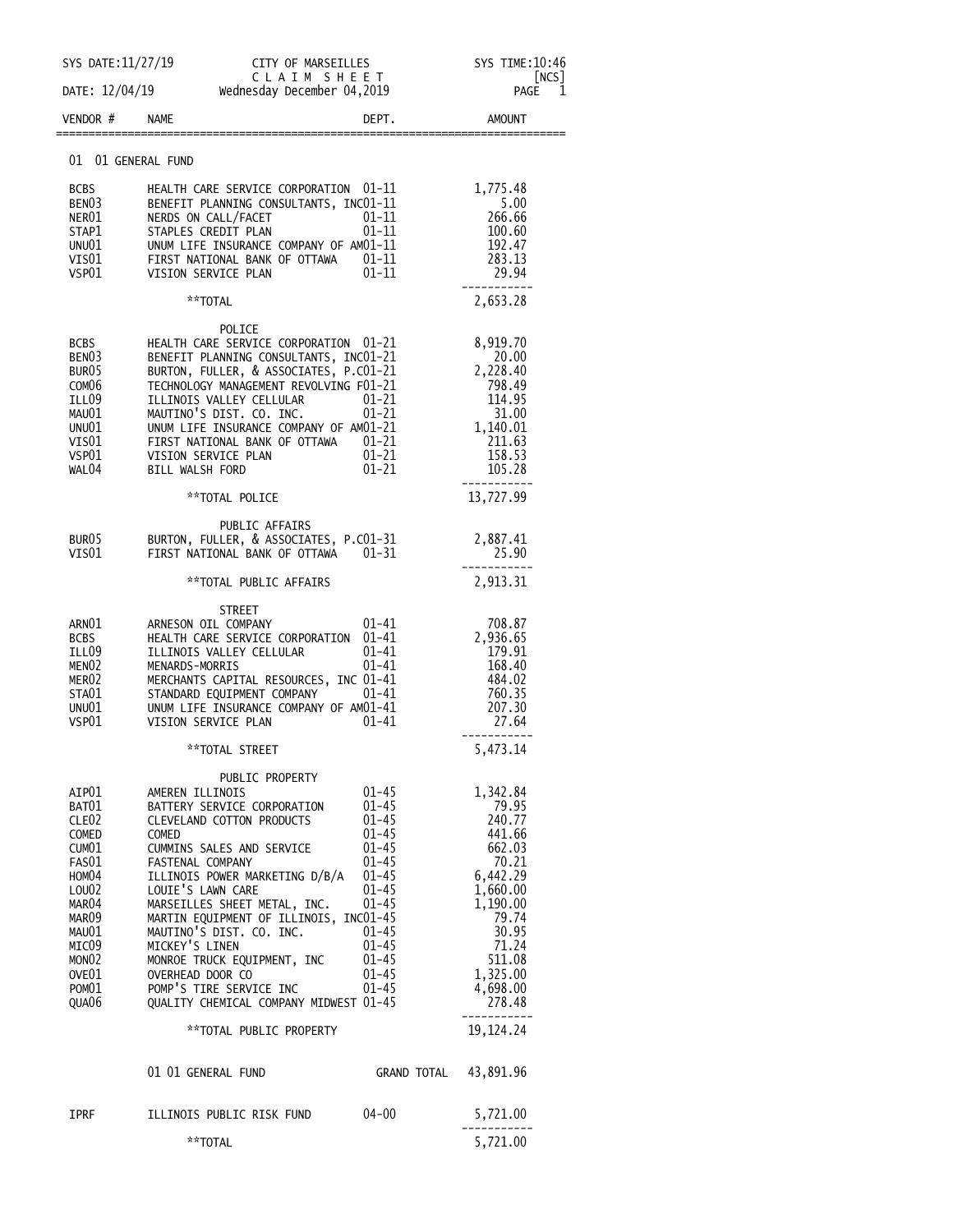| SYS DATE: 11/27/19                                                                                                                                                   | CITY OF MARSEILLES                                                                                                                                                                                                                                                                                                                                                                                                                                                     |                                                                                                                                                                        | SYS TIME: 10:46<br>NCS                                                                                                                                              |
|----------------------------------------------------------------------------------------------------------------------------------------------------------------------|------------------------------------------------------------------------------------------------------------------------------------------------------------------------------------------------------------------------------------------------------------------------------------------------------------------------------------------------------------------------------------------------------------------------------------------------------------------------|------------------------------------------------------------------------------------------------------------------------------------------------------------------------|---------------------------------------------------------------------------------------------------------------------------------------------------------------------|
| DATE: 12/04/19                                                                                                                                                       |                                                                                                                                                                                                                                                                                                                                                                                                                                                                        | CLAIM SHEET<br>Wednesday December 04,2019                                                                                                                              |                                                                                                                                                                     |
| VENDOR#                                                                                                                                                              | <b>NAME</b>                                                                                                                                                                                                                                                                                                                                                                                                                                                            | DEPT.                                                                                                                                                                  | <b>AMOUNT</b>                                                                                                                                                       |
| 01 01 GENERAL FUND                                                                                                                                                   |                                                                                                                                                                                                                                                                                                                                                                                                                                                                        |                                                                                                                                                                        |                                                                                                                                                                     |
| <b>BCBS</b><br>BEN <sub>03</sub><br>NER01<br>STAP1<br>UNU01<br>VIS01<br>VSP01                                                                                        | HEALTH CARE SERVICE CORPORATION 01-11<br>BENEFIT PLANNING CONSULTANTS, INC01-11<br>NERDS ON CALL/FACET<br>STAPLES CREDIT PLAN<br>UNUM LIFE INSURANCE COMPANY OF AM01-11<br>FIRST NATIONAL BANK OF OTTAWA<br>VISION SERVICE PLAN                                                                                                                                                                                                                                        | $01 - 11$<br>$01 - 11$<br>01–11<br>$01 - 11$                                                                                                                           | 1,775.48<br>5.00<br>266.66<br>100.60<br>192.47<br>283.13<br>29.94                                                                                                   |
|                                                                                                                                                                      | **TOTAL                                                                                                                                                                                                                                                                                                                                                                                                                                                                |                                                                                                                                                                        | 2,653.28                                                                                                                                                            |
| BCBS<br>BEN <sub>03</sub><br>BUR05<br>COM <sub>06</sub><br>ILL09<br>MAU01<br>UNU01<br>VIS01<br>VSP01<br>WAL04                                                        | POLICE<br>HEALTH CARE SERVICE CORPORATION 01-21<br>BENEFIT PLANNING CONSULTANTS, INC01-21<br>BURTON, FULLER, & ASSOCIATES, P.CO1-21<br>TECHNOLOGY MANAGEMENT REVOLVING F01-21<br>ILLINOIS VALLEY CELLULAR<br>MAUTINO'S DIST. CO. INC.<br>UNUM LIFE INSURANCE COMPANY OF AM01-21<br>FIRST NATIONAL BANK OF OTTAWA 01-21<br>VISION SERVICE PLAN<br><b>BILL WALSH FORD</b>                                                                                                | $01 - 21$<br>$01 - 21$<br>$01 - 21$<br>$01 - 21$                                                                                                                       | 8,919.70<br>20.00<br>2,228.40<br>798.49<br>114.95<br>31.00<br>1,140.01<br>211.63<br>158.53<br>105.28                                                                |
|                                                                                                                                                                      | **TOTAL POLICE                                                                                                                                                                                                                                                                                                                                                                                                                                                         |                                                                                                                                                                        | 13,727.99                                                                                                                                                           |
| BUR05<br>VIS01                                                                                                                                                       | PUBLIC AFFAIRS<br>BURTON, FULLER, & ASSOCIATES, P.CO1-31<br>FIRST NATIONAL BANK OF OTTAWA                                                                                                                                                                                                                                                                                                                                                                              | $01 - 31$                                                                                                                                                              | 2,887.41<br>25.90                                                                                                                                                   |
|                                                                                                                                                                      | **TOTAL PUBLIC AFFAIRS                                                                                                                                                                                                                                                                                                                                                                                                                                                 |                                                                                                                                                                        | 2,913.31                                                                                                                                                            |
| ARNO1<br><b>BCBS</b><br>ILL09<br>MENO <sub>2</sub><br>MER <sub>02</sub><br>STA01<br>UNU01<br>VSP01                                                                   | STREET<br>ARNESON OIL COMPANY<br>HEALTH CARE SERVICE CORPORATION<br>ILLINOIS VALLEY CELLULAR<br>MENARDS-MORRIS<br>MERCHANTS CAPITAL RESOURCES, INC 01-41<br>STANDARD EQUIPMENT COMPANY<br>UNUM LIFE INSURANCE COMPANY OF AM01-41<br>VISION SERVICE PLAN                                                                                                                                                                                                                | $01 - 41$<br>$01 - 41$<br>01-41<br>01-41<br>01-41<br>01-41                                                                                                             | 708.87<br>2,936.65<br>179.91<br>168.40<br>484.02<br>760.35<br>207.30<br>27.64                                                                                       |
|                                                                                                                                                                      | **TOTAL STREET                                                                                                                                                                                                                                                                                                                                                                                                                                                         |                                                                                                                                                                        | 5,473.14                                                                                                                                                            |
| AIP01<br>BAT01<br>CLE <sub>02</sub><br>COMED<br>CUM01<br>FAS01<br>HOM04<br>LOU02<br>MAR04<br>MAR09<br>MAU01<br>MICO9<br>MONO <sub>2</sub><br>OVE01<br>POM01<br>QUA06 | PUBLIC PROPERTY<br>AMEREN ILLINOIS<br>BATTERY SERVICE CORPORATION<br>CLEVELAND COTTON PRODUCTS<br><b>COMED</b><br>CUMMINS SALES AND SERVICE<br>FASTENAL COMPANY<br>ILLINOIS POWER MARKETING D/B/A<br>LOUIE'S LAWN CARE<br>MARSEILLES SHEET METAL, INC.<br>MARTIN EQUIPMENT OF ILLINOIS, INC01-45<br>MAUTINO'S DIST. CO. INC.<br>MICKEY'S LINEN<br>MONROE TRUCK EQUIPMENT, INC<br>OVERHEAD DOOR CO<br>POMP'S TIRE SERVICE INC<br>QUALITY CHEMICAL COMPANY MIDWEST 01-45 | $01 - 45$<br>01-45<br>$01 - 45$<br>$01 - 45$<br>$01 - 45$<br>$01 - 45$<br>$01 - 45$<br>01-45<br>$01 - 45$<br>$01 - 45$<br>$01 - 45$<br>$01 - 45$<br>01-45<br>$01 - 45$ | 1,342.84<br>79.95<br>240.77<br>441.66<br>662.03<br>70.21<br>6,442.29<br>1,660.00<br>1,190.00<br>79.74<br>30.95<br>71.24<br>511.08<br>1,325.00<br>4,698.00<br>278.48 |
|                                                                                                                                                                      | **TOTAL PUBLIC PROPERTY                                                                                                                                                                                                                                                                                                                                                                                                                                                |                                                                                                                                                                        | 19, 124. 24                                                                                                                                                         |
|                                                                                                                                                                      | 01 01 GENERAL FUND                                                                                                                                                                                                                                                                                                                                                                                                                                                     | GRAND TOTAL                                                                                                                                                            | 43,891.96                                                                                                                                                           |
| IPRF                                                                                                                                                                 | ILLINOIS PUBLIC RISK FUND<br>**TOTAL                                                                                                                                                                                                                                                                                                                                                                                                                                   | 04-00                                                                                                                                                                  | 5,721.00<br>5,721.00                                                                                                                                                |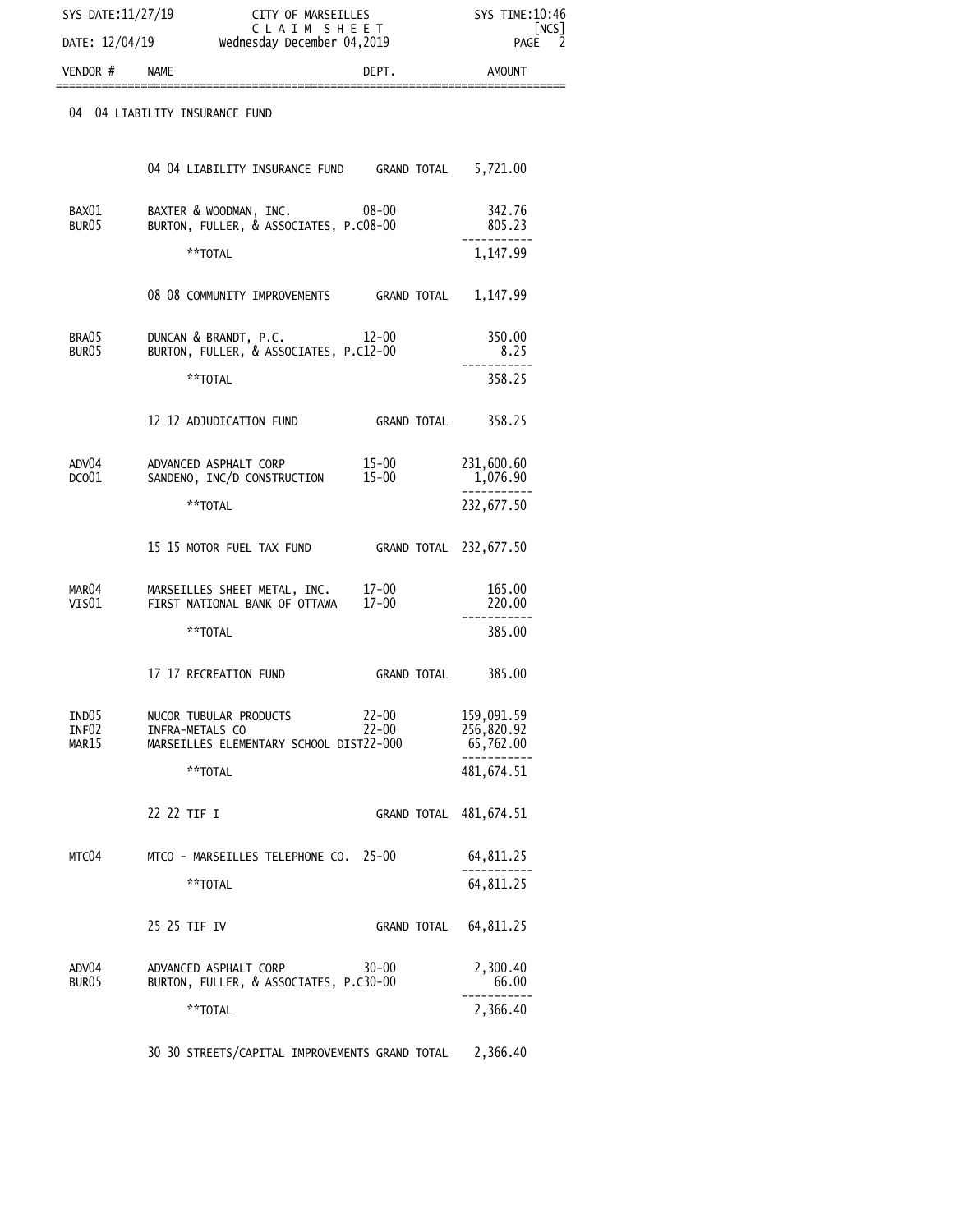| SYS DATE:11/27/19          |                                                                                      | CITY OF MARSEILLES<br>CLAIM SHEET<br>Wednesday December 04,2019 |                                       |
|----------------------------|--------------------------------------------------------------------------------------|-----------------------------------------------------------------|---------------------------------------|
| DATE: 12/04/19<br>VENDOR#  | <b>NAME</b>                                                                          | DEPT.                                                           | <b>PAGE</b><br>AMOUNT                 |
|                            | 04 04 LIABILITY INSURANCE FUND                                                       |                                                                 |                                       |
|                            | 04 04 LIABILITY INSURANCE FUND GRAND TOTAL 5,721.00                                  |                                                                 |                                       |
| BAX01<br>BUR05             | BAXTER & WOODMAN, INC.<br>BURTON, FULLER, & ASSOCIATES, P.CO8-00                     | 08-00                                                           | 342.76<br>805.23                      |
|                            | **TOTAL                                                                              |                                                                 | 1,147.99                              |
|                            | 08 08 COMMUNITY IMPROVEMENTS GRAND TOTAL                                             |                                                                 | 1,147.99                              |
| BRA05<br>BUR <sub>05</sub> | DUNCAN & BRANDT, P.C. 12-00<br>BURTON, FULLER, & ASSOCIATES, P.C12-00                |                                                                 | 350.00<br>8.25                        |
|                            | **TOTAL                                                                              |                                                                 | 358.25                                |
|                            | 12 12 ADJUDICATION FUND                                                              | GRAND TOTAL                                                     | 358.25                                |
| ADV04<br>DCO01             | ADVANCED ASPHALT CORP<br>SANDENO, INC/D CONSTRUCTION 15-00                           | 15-00                                                           | 231,600.60<br>1,076.90                |
|                            | **TOTAL                                                                              |                                                                 | 232,677.50                            |
|                            |                                                                                      | GRAND TOTAL 232,677.50                                          |                                       |
| MAR04<br>VIS $01$          | MARSEILLES SHEET METAL, INC. 17-00<br>FIRST NATIONAL BANK OF OTTAWA 17-00            |                                                                 | 165.00<br>220.00                      |
|                            | **TOTAL                                                                              |                                                                 | 385.00                                |
|                            | 17 17 RECREATION FUND                                                                | GRAND TOTAL                                                     | 385.00                                |
| IND05<br>INF02<br>MAR15    | NUCOR TUBULAR PRODUCTS<br>INFRA-METALS CO<br>MARSEILLES ELEMENTARY SCHOOL DIST22-000 | $22 - 00$<br>$22 - 00$                                          | 159,091.59<br>256,820.92<br>65,762.00 |
|                            | **TOTAL                                                                              |                                                                 | 481,674.51                            |
|                            | 22 22 TIF I                                                                          | GRAND TOTAL                                                     | 481,674.51                            |
| MTC04                      | MTCO - MARSEILLES TELEPHONE CO. 25-00                                                |                                                                 | 64,811.25                             |
|                            | **TOTAL                                                                              |                                                                 | 64,811.25                             |
|                            | 25 25 TIF IV                                                                         | GRAND TOTAL                                                     | 64,811.25                             |
| ADV04<br>BUR <sub>05</sub> | $30 - 00$<br>ADVANCED ASPHALT CORP<br>BURTON, FULLER, & ASSOCIATES, P.C30-00         |                                                                 | 2,300.40<br>66.00                     |
|                            | **TOTAL                                                                              |                                                                 | 2,366.40                              |
|                            | 30 30 STREETS/CAPITAL IMPROVEMENTS GRAND TOTAL                                       |                                                                 | 2,366.40                              |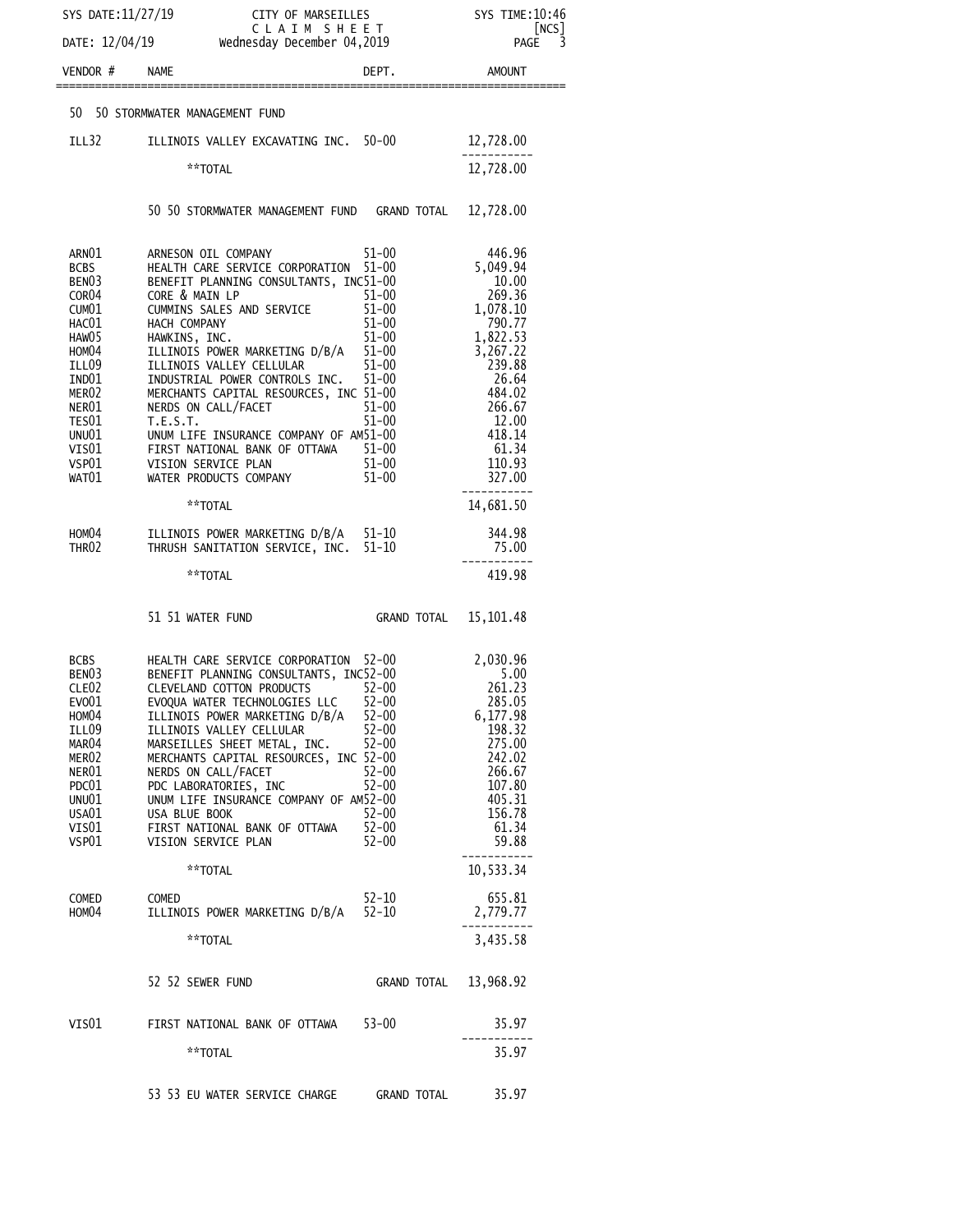| SYS DATE:11/27/19                                                                                                                                                                                                                   | CLAIM SHEET<br>Wednesday December 04,2019                                                                                                                                                                                                                                                                                                                                                                                                                                                                      |                                                                                                                                                  | SYS TIME: 10:46<br>[NCS]                                                                                                                                                   |
|-------------------------------------------------------------------------------------------------------------------------------------------------------------------------------------------------------------------------------------|----------------------------------------------------------------------------------------------------------------------------------------------------------------------------------------------------------------------------------------------------------------------------------------------------------------------------------------------------------------------------------------------------------------------------------------------------------------------------------------------------------------|--------------------------------------------------------------------------------------------------------------------------------------------------|----------------------------------------------------------------------------------------------------------------------------------------------------------------------------|
| DATE: 12/04/19                                                                                                                                                                                                                      |                                                                                                                                                                                                                                                                                                                                                                                                                                                                                                                |                                                                                                                                                  | 3<br><b>PAGE</b>                                                                                                                                                           |
| VENDOR#                                                                                                                                                                                                                             | <b>NAME</b>                                                                                                                                                                                                                                                                                                                                                                                                                                                                                                    | DEPT.                                                                                                                                            | AMOUNT                                                                                                                                                                     |
|                                                                                                                                                                                                                                     | 50 50 STORMWATER MANAGEMENT FUND                                                                                                                                                                                                                                                                                                                                                                                                                                                                               |                                                                                                                                                  |                                                                                                                                                                            |
| ILL32                                                                                                                                                                                                                               | ILLINOIS VALLEY EXCAVATING INC. 50-00                                                                                                                                                                                                                                                                                                                                                                                                                                                                          |                                                                                                                                                  | 12,728.00                                                                                                                                                                  |
|                                                                                                                                                                                                                                     | **TOTAL                                                                                                                                                                                                                                                                                                                                                                                                                                                                                                        |                                                                                                                                                  | 12,728.00                                                                                                                                                                  |
|                                                                                                                                                                                                                                     | 50 50 STORMWATER MANAGEMENT FUND GRAND TOTAL                                                                                                                                                                                                                                                                                                                                                                                                                                                                   |                                                                                                                                                  | 12,728.00                                                                                                                                                                  |
| ARN01<br><b>BCBS</b><br>BEN <sub>03</sub><br>COR <sub>04</sub><br>CUM <sub>01</sub><br>HAC01<br>HAW <sub>05</sub><br>HOM <sub>04</sub><br>ILL09<br>IND01<br>MER <sub>02</sub><br>NER01<br>TES01<br>UNU01<br>VIS01<br>VSP01<br>WAT01 | ARNESON OIL COMPANY<br>HEALTH CARE SERVICE CORPORATION<br>BENEFIT PLANNING CONSULTANTS, INC51-00<br>CORE & MAIN LP<br>CUMMINS SALES AND SERVICE<br>HACH COMPANY<br>HAWKINS, INC.<br>ILLINOIS POWER MARKETING D/B/A 51-00<br>51-00<br>ILLINOIS VALLEY CELLULAR<br>INDUSTRIAL POWER CONTROLS INC.<br>MERCHANTS CAPITAL RESOURCES, INC 51-00<br>NERDS ON CALL/FACET<br>T.E.S.T.<br>UNUM LIFE INSURANCE COMPANY OF AM51-00<br>FIRST NATIONAL BANK OF OTTAWA 51-00<br>VISION SERVICE PLAN<br>WATER PRODUCTS COMPANY | $51 - 00$<br>$51 - 00$<br>$51 - 00$<br>$51 - 00$<br>51-00<br>$51 - 00$<br>$51 - 00$<br>$51 - 00$<br>$51 - 00$<br>$51 - 00$<br>51-00<br>$51 - 00$ | 446.96<br>5,049.94<br>10.00<br>269.36<br>1,078.10<br>790.77<br>1,822.53<br>3,267.22<br>239.88<br>26.64<br>484.02<br>266.67<br>12.00<br>418.14<br>61.34<br>110.93<br>327.00 |
|                                                                                                                                                                                                                                     | **TOTAL                                                                                                                                                                                                                                                                                                                                                                                                                                                                                                        |                                                                                                                                                  | ---------<br>14,681.50                                                                                                                                                     |
| HOM04<br>THR02                                                                                                                                                                                                                      | ILLINOIS POWER MARKETING D/B/A 51-10<br>THRUSH SANITATION SERVICE, INC.                                                                                                                                                                                                                                                                                                                                                                                                                                        | $51 - 10$                                                                                                                                        | 344.98<br>75.00                                                                                                                                                            |
|                                                                                                                                                                                                                                     | **TOTAL                                                                                                                                                                                                                                                                                                                                                                                                                                                                                                        |                                                                                                                                                  | 419.98                                                                                                                                                                     |
|                                                                                                                                                                                                                                     | 51 51 WATER FUND                                                                                                                                                                                                                                                                                                                                                                                                                                                                                               | GRAND TOTAL                                                                                                                                      | 15, 101.48                                                                                                                                                                 |
| BCBS<br>BEN03<br>CLE02<br>EV001<br>HOM04<br>ILL09<br>MAR04<br>MER <sub>02</sub><br>NER01<br>PDC01<br>UNU01<br>USA01<br>VIS01<br>VSP01                                                                                               | HEALTH CARE SERVICE CORPORATION 52-00<br>BENEFIT PLANNING CONSULTANTS, INC52-00<br>CLEVELAND COTTON PRODUCTS<br>EVOQUA WATER TECHNOLOGIES LLC<br>ILLINOIS POWER MARKETING D/B/A<br>ILLINOIS VALLEY CELLULAR<br>MARSEILLES SHEET METAL, INC. 52-00<br>MERCHANTS CAPITAL RESOURCES, INC 52-00<br>NERDS ON CALL/FACET<br>PDC LABORATORIES, INC<br>UNUM LIFE INSURANCE COMPANY OF AM52-00<br>USA BLUE BOOK<br>FIRST NATIONAL BANK OF OTTAWA<br>VISION SERVICE PLAN                                                 | $52 - 00$<br>$52 - 00$<br>$52 - 00$<br>$52 - 00$<br>$52 - 00$<br>$52 - 00$<br>$52 - 00$<br>$52 - 00$<br>$52 - 00$                                | 2,030.96<br>5.00<br>261.23<br>285.05<br>6,177.98<br>198.32<br>275.00<br>242.02<br>266.67<br>107.80<br>405.31<br>156.78<br>61.34<br>59.88                                   |
|                                                                                                                                                                                                                                     | **TOTAL                                                                                                                                                                                                                                                                                                                                                                                                                                                                                                        |                                                                                                                                                  | .<br>10,533.34                                                                                                                                                             |
| COMED<br>HOM04                                                                                                                                                                                                                      | COMED<br>ILLINOIS POWER MARKETING D/B/A 52-10<br>**TOTAL                                                                                                                                                                                                                                                                                                                                                                                                                                                       | 52-10                                                                                                                                            | 655.81<br>2,779.77<br>3,435.58                                                                                                                                             |
|                                                                                                                                                                                                                                     | 52 52 SEWER FUND                                                                                                                                                                                                                                                                                                                                                                                                                                                                                               | GRAND TOTAL 13,968.92                                                                                                                            |                                                                                                                                                                            |
| VIS01                                                                                                                                                                                                                               | FIRST NATIONAL BANK OF OTTAWA 53-00                                                                                                                                                                                                                                                                                                                                                                                                                                                                            |                                                                                                                                                  | 35.97                                                                                                                                                                      |
|                                                                                                                                                                                                                                     | **TOTAL                                                                                                                                                                                                                                                                                                                                                                                                                                                                                                        |                                                                                                                                                  | 35.97                                                                                                                                                                      |
|                                                                                                                                                                                                                                     | 53 53 EU WATER SERVICE CHARGE GRAND TOTAL                                                                                                                                                                                                                                                                                                                                                                                                                                                                      |                                                                                                                                                  | 35.97                                                                                                                                                                      |